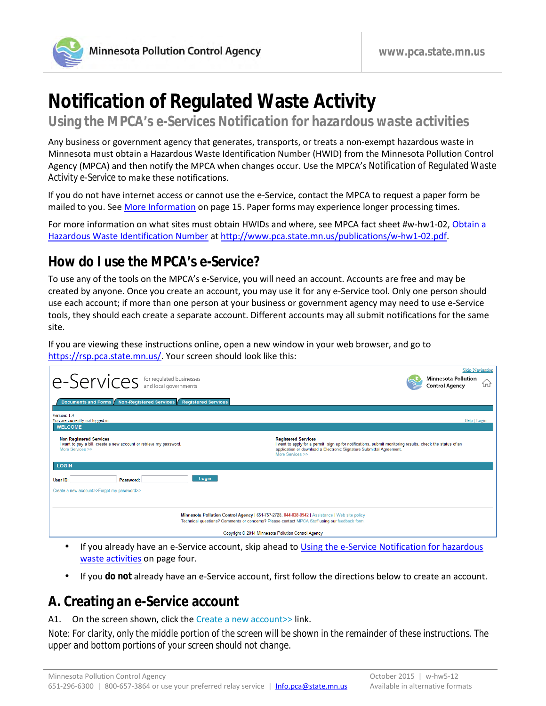

# **Notification of Regulated Waste Activity**

**Using the MPCA's** *e-Services Notification for hazardous waste activities*

Any business or government agency that generates, transports, or treats a non-exempt hazardous waste in Minnesota must obtain a Hazardous Waste Identification Number (HWID) from the Minnesota Pollution Control Agency (MPCA) and then notify the MPCA when changes occur. Use the MPCA's *Notification of Regulated Waste Activity e-Service* to make these notifications.

If you do not have internet access or cannot use the e-Service, contact the MPCA to request a paper form be mailed to you. See [More Information](#page-14-0) on page 15. Paper forms may experience longer processing times.

For more information on what sites must obtain HWIDs and where, see MPCA fact sheet #w-hw1-02, [Obtain a](http://www.pca.state.mn.us/index.php/view-document.html?gid=4031)  [Hazardous Waste Identification Number](http://www.pca.state.mn.us/index.php/view-document.html?gid=4031) a[t http://www.pca.state.mn.us/publications/w-hw1-02.pdf.](http://www.pca.state.mn.us/publications/w-hw1-02.pdf)

### **How do I use the MPCA's e-Service?**

To use any of the tools on the MPCA's e-Service, you will need an account. Accounts are free and may be created by anyone. Once you create an account, you may use it for any e-Service tool. Only one person should use each account; if more than one person at your business or government agency may need to use e-Service tools, they should each create a separate account. Different accounts may all submit notifications for the same site.

If you are viewing these instructions online, open a new window in your web browser, and go to [https://rsp.pca.state.mn.us/.](https://rsp.pca.state.mn.us/) Your screen should look like this:

| $ e\text{-}Services$ for regulated businesses                                                                                                                                                   | <b>Skip Navigation</b><br><b>Minnesota Pollution</b><br>íпì<br><b>Control Agency</b>                                                                                                                                                |  |  |  |
|-------------------------------------------------------------------------------------------------------------------------------------------------------------------------------------------------|-------------------------------------------------------------------------------------------------------------------------------------------------------------------------------------------------------------------------------------|--|--|--|
| Documents and Forms Non-Registered Services Registered Services<br>Version: 1.4<br>You are currently not logged in.<br><b>WELCOME</b>                                                           | Help   Login                                                                                                                                                                                                                        |  |  |  |
| <b>Non Registered Services</b><br>I want to pay a bill, create a new account or retrieve my password.<br>More Services >>                                                                       | <b>Registered Services</b><br>I want to apply for a permit, sign up for notifications, submit monitoring results, check the status of an<br>application or download a Electronic Signature Submittal Agreement.<br>More Services >> |  |  |  |
| <b>LOGIN</b><br>Login<br>User ID:<br>Password:<br>Create a new account>>Forgot my password>>                                                                                                    |                                                                                                                                                                                                                                     |  |  |  |
| Minnesota Pollution Control Agency   651-757-2728, 844-828-0942   Assistance   Web site policy<br>Technical questions? Comments or concerns? Please contact MPCA Staff using our feedback form. |                                                                                                                                                                                                                                     |  |  |  |
|                                                                                                                                                                                                 | Copyright © 2014 Minnesota Pollution Control Agency                                                                                                                                                                                 |  |  |  |

- If you already have an e-Service account, skip ahead to [Using the e-Service Notification for hazardous](#page-3-0)  [waste activities](#page-3-0) on page four.
- If you **do not** already have an e-Service account, first follow the directions below to create an account.

### **A. Creating an e-Service account**

#### A1. On the screen shown, click the Create a new account>> link.

*Note: For clarity, only the middle portion of the screen will be shown in the remainder of these instructions. The upper and bottom portions of your screen should not change.*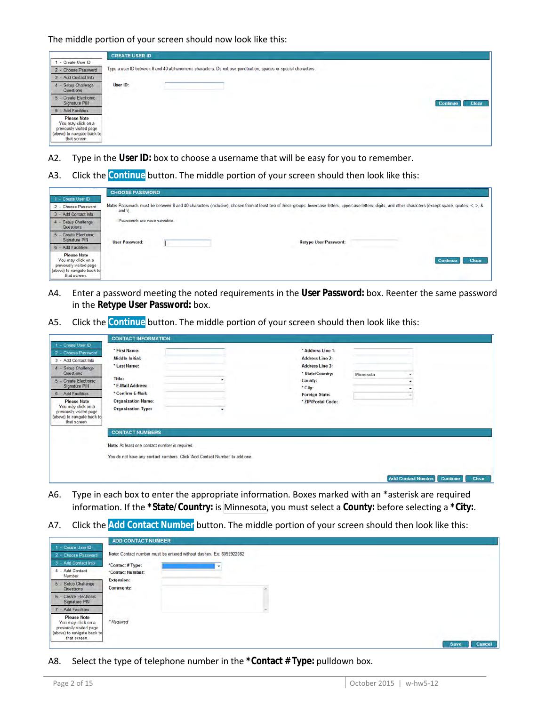|                                                                                                                    | <b>CREATE USER ID</b>                                                                                          |
|--------------------------------------------------------------------------------------------------------------------|----------------------------------------------------------------------------------------------------------------|
| - Create User ID                                                                                                   |                                                                                                                |
| 2 - Choose Password                                                                                                | Type a user ID between 8 and 40 alphanumeric characters. Do not use punctuation, spaces or special characters, |
| - Add Contact Info                                                                                                 |                                                                                                                |
| - Setup Challenge<br>4<br>Questions                                                                                | User ID:                                                                                                       |
| <b>Create Electronic</b><br>Signature PIN                                                                          | <b>Clear</b><br><b>Continue</b>                                                                                |
| - Add Facilities<br>6                                                                                              |                                                                                                                |
| <b>Please Note</b><br>You may click on a<br>previously visited page<br>(above) to navigate back to<br>that screen. |                                                                                                                |

- A2. Type in the **User ID:** box to choose a username that will be easy for you to remember.
- A3. Click the **Continue** button. The middle portion of your screen should then look like this:

|                                                                                                                                          | <b>CHOOSE PASSWORD</b>                                                                                                                                                                                                 |  |  |  |  |  |
|------------------------------------------------------------------------------------------------------------------------------------------|------------------------------------------------------------------------------------------------------------------------------------------------------------------------------------------------------------------------|--|--|--|--|--|
| 1 - Create User ID<br>2 - Choose Password<br>3 - Add Contact Info                                                                        | Note: Passwords must be between 8 and 40 characters (inclusive), chosen from at least two of these groups: lowercase letters, uppercase letters, digits, and other characters (except space, quotes, <, >, &<br>and \) |  |  |  |  |  |
| Setup Challenge<br>Questions                                                                                                             | Passwords are case sensitive.                                                                                                                                                                                          |  |  |  |  |  |
| Create Electronic<br>Signature PIN                                                                                                       | <b>Retype User Password:</b><br><b>User Password:</b>                                                                                                                                                                  |  |  |  |  |  |
| 6 - Add Facilities<br><b>Please Note</b><br>You may click on a<br>previously visited page<br>(above) to navigate back to<br>that screen. | Clear<br>Con                                                                                                                                                                                                           |  |  |  |  |  |

- A4. Enter a password meeting the noted requirements in the **User Password:** box. Reenter the same password in the **Retype User Password:** box.
- A5. Click the **Continue** button. The middle portion of your screen should then look like this:

|                                                                                                                                                                                                                                                                                                         | <b>CONTACT INFORMATION</b>                                                                                                                                            |                                                                                                                                                                |           |                                       |       |
|---------------------------------------------------------------------------------------------------------------------------------------------------------------------------------------------------------------------------------------------------------------------------------------------------------|-----------------------------------------------------------------------------------------------------------------------------------------------------------------------|----------------------------------------------------------------------------------------------------------------------------------------------------------------|-----------|---------------------------------------|-------|
| 1 - Create User ID<br>2 - Choose Password<br>3 - Add Contact Info<br>4 - Setup Challenge<br>Questions<br>- Create Electronic<br>$\sqrt{5}$<br>Signature PIN<br>6 - Add Facilities<br><b>Please Note</b><br>You may click on a<br>previously visited page<br>(above) to navigate back to<br>that screen. | * First Name:<br><b>Middle Initial:</b><br>* Last Name:<br>Title:<br>* E-Mail Address:<br>* Confirm E-Mail:<br><b>Organization Name:</b><br><b>Organization Type:</b> | * Address Line 1:<br><b>Address Line 2:</b><br><b>Address Line 3:</b><br>* State/Country:<br>County:<br>* City:<br><b>Foreign State:</b><br>* ZIP/Postal Code: | Minnesota |                                       |       |
|                                                                                                                                                                                                                                                                                                         | <b>CONTACT NUMBERS</b><br>Note: At least one contact number is required.<br>You do not have any contact numbers. Click 'Add Contact Number' to add one.               |                                                                                                                                                                |           | <b>Add Contact Number</b><br>Continue | Clear |

- A6. Type in each box to enter the appropriate information. Boxes marked with an \*asterisk are required information. If the **\*State/Country:** is Minnesota, you must select a **County:** before selecting a **\*City:**.
- A7. Click the **Add Contact Number** button. The middle portion of your screen should then look like this:

|                                                                                                                    | ADD CONTACT NUMBER                                                  |                       |
|--------------------------------------------------------------------------------------------------------------------|---------------------------------------------------------------------|-----------------------|
| 1 - Create User ID                                                                                                 |                                                                     |                       |
| 2 - Choose Password                                                                                                | Note: Contact number must be entered without dashes. Ex: 6092922082 |                       |
| 3 - Add Contact Info                                                                                               | *Contact # Type:                                                    |                       |
| 4 - Add Contact                                                                                                    | *Contact Number:                                                    |                       |
| Number                                                                                                             | <b>Extension:</b>                                                   |                       |
| Setup Challenge<br>$5 -$<br>Questions                                                                              | <b>Comments:</b>                                                    |                       |
| 6 - Create Electronic<br>Signature PIN                                                                             | <b>CONTRACTOR</b>                                                   |                       |
| - Add Facilities                                                                                                   |                                                                     |                       |
| <b>Please Note</b><br>You may click on a<br>previously visited page<br>(above) to navigate back to<br>that screen. | * Required                                                          |                       |
|                                                                                                                    |                                                                     | Cancel<br><b>Save</b> |

A8. Select the type of telephone number in the **\*Contact # Type:** pulldown box.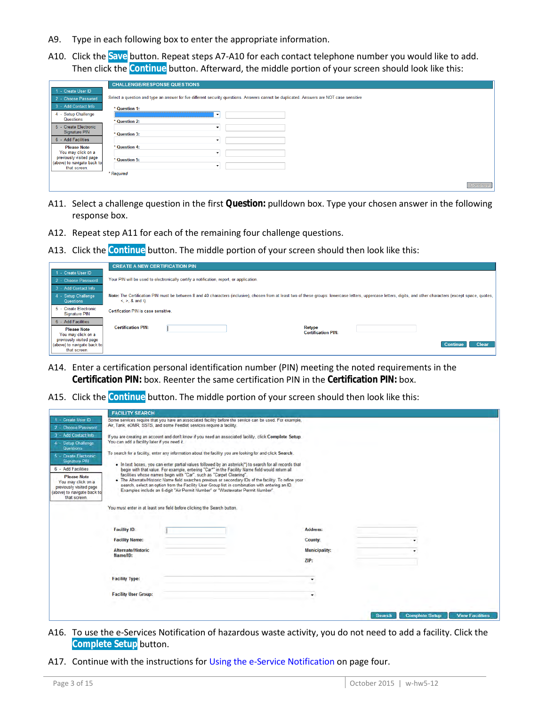- A9. Type in each following box to enter the appropriate information.
- A10. Click the **Save** button. Repeat steps A7-A10 for each contact telephone number you would like to add. Then click the **Continue** button. Afterward, the middle portion of your screen should look like this:

|                                                                        | <b>CHALLENGE/RESPONSE QUESTIONS</b>                                                                                                      |
|------------------------------------------------------------------------|------------------------------------------------------------------------------------------------------------------------------------------|
| 1 - Create User ID                                                     |                                                                                                                                          |
| 2 - Choose Password                                                    | Select a question and type an answer for five different security questions. Answers cannot be duplicated. Answers are NOT case sensitive |
| 3 - Add Contact Info                                                   | * Question 1:                                                                                                                            |
| 4 - Setup Challenge<br>Questions                                       | $\check{}$<br>* Question 2:                                                                                                              |
| 5 - Create Electronic<br>Signature PIN                                 | $\overline{\phantom{a}}$                                                                                                                 |
| 6 - Add Facilities                                                     | * Question 3:<br>▼                                                                                                                       |
| <b>Please Note</b><br>You may click on a                               | * Question 4:                                                                                                                            |
| previously visited page<br>(above) to navigate back to<br>that screen. | $\tilde{\phantom{a}}$<br>* Question 5:<br>٠                                                                                              |
|                                                                        | * Required                                                                                                                               |
|                                                                        | <b>Continue</b>                                                                                                                          |

- A11. Select a challenge question in the first **Question:** pulldown box. Type your chosen answer in the following response box.
- A12. Repeat step A11 for each of the remaining four challenge questions.
- A13. Click the **Continue** button. The middle portion of your screen should then look like this:

| Note: The Certification PIN must be between 8 and 40 characters (inclusive), chosen from at least two of these groups: lowercase letters, uppercase letters, digits, and other characters (except space, quotes, |
|------------------------------------------------------------------------------------------------------------------------------------------------------------------------------------------------------------------|
|                                                                                                                                                                                                                  |
|                                                                                                                                                                                                                  |
|                                                                                                                                                                                                                  |
|                                                                                                                                                                                                                  |
| <b>Clear</b><br><b>Continue</b>                                                                                                                                                                                  |
|                                                                                                                                                                                                                  |
|                                                                                                                                                                                                                  |

- A14. Enter a certification personal identification number (PIN) meeting the noted requirements in the **Certification PIN:** box. Reenter the same certification PIN in the **Certification PIN:** box.
- A15. Click the **Continue** button. The middle portion of your screen should then look like this:

|                                                                                                                                            | <b>FACILITY SEARCH</b>                                                                                                                                                          |                                                                     |                                                                                                                                                                                                                                                                                                                                                                                                                                                                                                                                    |  |                      |               |                       |                        |
|--------------------------------------------------------------------------------------------------------------------------------------------|---------------------------------------------------------------------------------------------------------------------------------------------------------------------------------|---------------------------------------------------------------------|------------------------------------------------------------------------------------------------------------------------------------------------------------------------------------------------------------------------------------------------------------------------------------------------------------------------------------------------------------------------------------------------------------------------------------------------------------------------------------------------------------------------------------|--|----------------------|---------------|-----------------------|------------------------|
| 1 - Create User ID<br>2 - Choose Password                                                                                                  | Some services require that you have an associated facility before the service can be used. For example,<br>Air, Tank, eDMR, SSTS, and some Feedlot services require a facility. |                                                                     |                                                                                                                                                                                                                                                                                                                                                                                                                                                                                                                                    |  |                      |               |                       |                        |
| 3 - Add Contact Info<br>4 - Setup Challenge<br>Questions                                                                                   | If you are creating an account and don't know if you need an associated facility, click Complete Setup.<br>You can add a facility later if you need it.                         |                                                                     |                                                                                                                                                                                                                                                                                                                                                                                                                                                                                                                                    |  |                      |               |                       |                        |
| 5 - Create Electronic<br><b>Signature PIN</b><br>6 - Add Facilities<br><b>Please Note</b><br>You may click on a<br>previously visited page |                                                                                                                                                                                 | facilities whose names begin with "Car", such as "Carpet Cleaning". | To search for a facility, enter any information about the facility you are looking for and click Search.<br>. In text boxes, you can enter partial values followed by an asterisk(*) to search for all records that<br>begin with that value. For example, entering "Car*" in the Facility Name field would return all<br>. The Alternate/Historic Name field searches previous or secondary IDs of the facility. To refine your<br>search, select an option from the Facility User Group list in combination with entering an ID. |  |                      |               |                       |                        |
| (above) to navigate back to<br>that screen.                                                                                                | Examples include an 8-digit "Air Permit Number" or "Wastewater Permit Number".<br>You must enter in at least one field before clicking the Search button.                       |                                                                     |                                                                                                                                                                                                                                                                                                                                                                                                                                                                                                                                    |  |                      |               |                       |                        |
|                                                                                                                                            |                                                                                                                                                                                 |                                                                     |                                                                                                                                                                                                                                                                                                                                                                                                                                                                                                                                    |  |                      |               |                       |                        |
|                                                                                                                                            | <b>Facility ID:</b>                                                                                                                                                             |                                                                     |                                                                                                                                                                                                                                                                                                                                                                                                                                                                                                                                    |  | <b>Address:</b>      |               |                       |                        |
|                                                                                                                                            | <b>Facility Name:</b>                                                                                                                                                           |                                                                     |                                                                                                                                                                                                                                                                                                                                                                                                                                                                                                                                    |  | County:              |               |                       |                        |
|                                                                                                                                            | <b>Alternate/Historic</b>                                                                                                                                                       |                                                                     |                                                                                                                                                                                                                                                                                                                                                                                                                                                                                                                                    |  | <b>Municipality:</b> |               |                       |                        |
|                                                                                                                                            | Name/ID:                                                                                                                                                                        |                                                                     |                                                                                                                                                                                                                                                                                                                                                                                                                                                                                                                                    |  | ZIP:                 |               |                       |                        |
|                                                                                                                                            | <b>Facility Type:</b>                                                                                                                                                           |                                                                     |                                                                                                                                                                                                                                                                                                                                                                                                                                                                                                                                    |  |                      |               |                       |                        |
|                                                                                                                                            | <b>Facility User Group:</b>                                                                                                                                                     |                                                                     |                                                                                                                                                                                                                                                                                                                                                                                                                                                                                                                                    |  |                      |               |                       |                        |
|                                                                                                                                            |                                                                                                                                                                                 |                                                                     |                                                                                                                                                                                                                                                                                                                                                                                                                                                                                                                                    |  |                      | <b>Search</b> | <b>Complete Setup</b> | <b>View Facilities</b> |

- A16. To use the e-Services Notification of hazardous waste activity, you do not need to add a facility. Click the **Complete Setup** button.
- A17. Continue with the instructions fo[r Using the e-Service Notification](#page-3-0) on page four.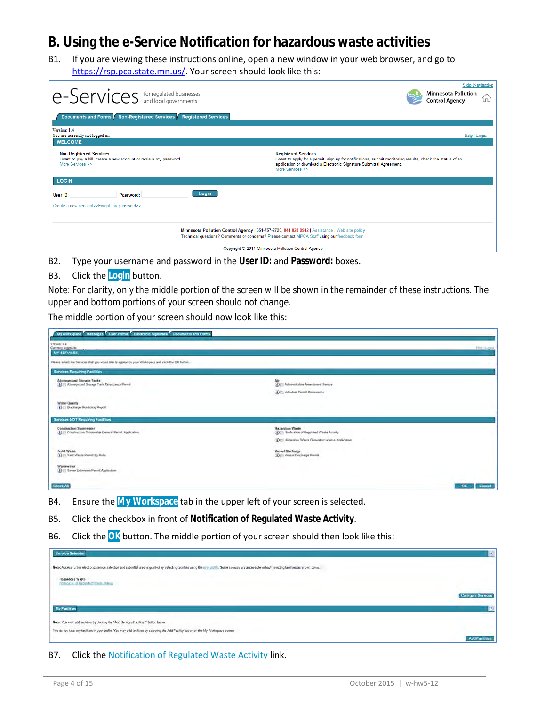### <span id="page-3-0"></span>**B. Using the e-Service Notification for hazardous waste activities**

B1. If you are viewing these instructions online, open a new window in your web browser, and go to [https://rsp.pca.state.mn.us/.](https://rsp.pca.state.mn.us/) Your screen should look like this:

| e-Services for regulated businesses                                                                                                                                                             | <b>Skip Navigation</b><br><b>Minnesota Pollution</b><br><b>Control Agency</b><br>íпì                                                                                                                                                |  |  |  |  |  |
|-------------------------------------------------------------------------------------------------------------------------------------------------------------------------------------------------|-------------------------------------------------------------------------------------------------------------------------------------------------------------------------------------------------------------------------------------|--|--|--|--|--|
| Documents and Forms Non-Registered Services Registered Services<br>Version: 1.4<br>You are currently not logged in.<br><b>WELCOME</b>                                                           | Help   Login                                                                                                                                                                                                                        |  |  |  |  |  |
| <b>Non Registered Services</b><br>I want to pay a bill, create a new account or retrieve my password.<br>More Services >>                                                                       | <b>Registered Services</b><br>I want to apply for a permit, sign up for notifications, submit monitoring results, check the status of an<br>application or download a Electronic Signature Submittal Agreement.<br>More Services >> |  |  |  |  |  |
| <b>LOGIN</b>                                                                                                                                                                                    |                                                                                                                                                                                                                                     |  |  |  |  |  |
| Login<br>User ID:<br>Password:                                                                                                                                                                  |                                                                                                                                                                                                                                     |  |  |  |  |  |
| Create a new account>>Forgot my password>>                                                                                                                                                      |                                                                                                                                                                                                                                     |  |  |  |  |  |
|                                                                                                                                                                                                 |                                                                                                                                                                                                                                     |  |  |  |  |  |
| Minnesota Pollution Control Agency   651-757-2728, 844-828-0942   Assistance   Web site policy<br>Technical questions? Comments or concerns? Please contact MPCA Staff using our feedback form. |                                                                                                                                                                                                                                     |  |  |  |  |  |
|                                                                                                                                                                                                 | Copyright © 2014 Minnesota Pollution Control Agency                                                                                                                                                                                 |  |  |  |  |  |

- B2. Type your username and password in the **User ID:** and **Password:** boxes.
- B3. Click the **Login** button.

*Note: For clarity, only the middle portion of the screen will be shown in the remainder of these instructions. The upper and bottom portions of your screen should not change.*

The middle portion of your screen should now look like this:

| My Workspace Messages User Fronte Electronic Signature Documents and Forms                           |                                                                                    |                    |
|------------------------------------------------------------------------------------------------------|------------------------------------------------------------------------------------|--------------------|
| Versus: 14<br>Currently logged in<br><b>MY SERVICES</b>                                              |                                                                                    | <b>Field Lugar</b> |
| Please select the Services that you would like to appear on your Workspece and click the OK furture. |                                                                                    |                    |
| <b>Sarvices Requiring Facilities</b>                                                                 |                                                                                    |                    |
| Aboveground Storage Tanks<br>O :: Aboveground Storage Tank Resource Permit                           | Air<br>3 El Administrative Ameridanet Senior<br>D !": Individual Permit Revisuance |                    |
| <b>Water Quality</b><br>D ET Discharge Montuizeg Report                                              |                                                                                    |                    |
| Services NOT Requiring Facilities                                                                    |                                                                                    |                    |
| <b>Construction Stormwater</b><br>D ET Construction Stormupter General Permit Application            | <b>Hazardous Waste</b><br>D 21 Notification of Regulated Waste Activity            |                    |
|                                                                                                      | (5) [1] Hazardous Waste Generator License Application                              |                    |
| Solid Waste<br>(b) (1) Yard Waste Permit By Rule                                                     | Vessel Discharge<br>(A) (f) Vessel Discharge Permit                                |                    |
| Wastewater<br><b>DITI Sever Extension Permit Application.</b>                                        |                                                                                    |                    |
| Check All                                                                                            |                                                                                    | Council<br>$-1$ CK |

- B4. Ensure the **My Workspace** tab in the upper left of your screen is selected.
- B5. Click the checkbox in front of **Notification of Regulated Waste Activity**.
- B6. Click the **OK** button. The middle portion of your screen should then look like this:

| <b>Service Selection</b>                                                                                                                                                                                 | $\mathbb{R}$              |
|----------------------------------------------------------------------------------------------------------------------------------------------------------------------------------------------------------|---------------------------|
| Note: Access to this electronic service selection and submittal area is granted by selecting facilities using the poor multip. Some services are accessible without selecting facilities as shown below. |                           |
| Hazardous Waste<br>Nethelman of Regulated Waste Althely.                                                                                                                                                 |                           |
|                                                                                                                                                                                                          | <b>Configure Services</b> |
| <b>My Facilities</b>                                                                                                                                                                                     | $\epsilon$                |
| Note: You may add facilities by clicking the "Add Services/Facilities" button below.                                                                                                                     |                           |
| You do not have any facilities in your profile. You may add facilities by selecting the Add Facility button on the My Workspace screen                                                                   | <b>Add Facilities</b>     |

B7. Click the Notification of Regulated Waste Activity link.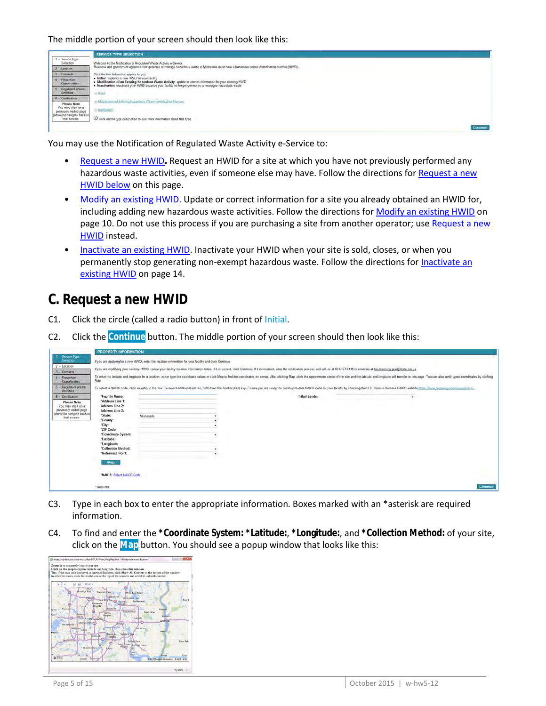

You may use the Notification of Regulated Waste Activity e-Service to:

- [Request a new HWID](#page-4-0)**.** Request an HWID for a site at which you have not previously performed any hazardous waste activities, even if someone else may have. Follow the directions for [Request a new](#page-4-0)  [HWID below](#page-4-0) on this page.
- [Modify an existing HWID.](#page-9-0) Update or correct information for a site you already obtained an HWID for, including adding new hazardous waste activities. Follow the directions for [Modify an existing HWID](#page-9-0) on page 10. Do not use this process if you are purchasing a site from another operator; use Request a new [HWID](#page-4-0) instead.
- [Inactivate an existing HWID.](#page-13-0) Inactivate your HWID when your site is sold, closes, or when you permanently stop generating non-exempt hazardous waste. Follow the directions for *Inactivate an* [existing HWID](#page-13-0) on page 14.

#### <span id="page-4-0"></span>**C. Request a new HWID**

- C1. Click the circle (called a radio button) in front of Initial.
- C2. Click the **Continue** button. The middle portion of your screen should then look like this:

|                                                                                                                                 | <b>PROPERTY INFORMATION</b>                                                                                                                                                                                                            |           |  |                                                                                                                                                                                                                                |          |  |  |
|---------------------------------------------------------------------------------------------------------------------------------|----------------------------------------------------------------------------------------------------------------------------------------------------------------------------------------------------------------------------------------|-----------|--|--------------------------------------------------------------------------------------------------------------------------------------------------------------------------------------------------------------------------------|----------|--|--|
| Served Type<br>Selection                                                                                                        | If you are applying for a new HV/ID, enter the location information for your facility and click Continue.                                                                                                                              |           |  |                                                                                                                                                                                                                                |          |  |  |
| $2 -$ Location<br>3 - Contacts                                                                                                  | If you are modifying your existing HWID, review your facility location information below. If it is connect, click Continue. If it is incorrect, stop the notification process and call us at 651-757-2118 or email us at his-l         |           |  |                                                                                                                                                                                                                                |          |  |  |
| 4 - Prevention<br>Opportunities.                                                                                                | To enter the latitude and longitude for a location, either type the coordinate values or click Map to find the coordinates on a map. After clicking Map, click the approximate center of the site and the latitude and longitu<br>Map. |           |  |                                                                                                                                                                                                                                |          |  |  |
| Regulated Waste<br><b>Activities</b>                                                                                            |                                                                                                                                                                                                                                        |           |  | To select a NAICS code, click an entry in the box. To select additional entries, hold down the Control (Ctri) key. Ensure you are using the most up-to-date NAICS code for your Besity by checking the U.S. Census Bureaus NAI |          |  |  |
| 6 - Certification<br>Please Note<br>You may click on a<br>previously wsited page<br>(above) to navigate back to<br>that screen. | 'Facility Name:<br>"Address Line 1:<br>Address Line 2:<br>Address Line 3:<br>*State:<br>*County:                                                                                                                                       | Minnesota |  | Tribal Lands:                                                                                                                                                                                                                  |          |  |  |
|                                                                                                                                 | *City:<br>"ZIP Code:<br>"Coordinate System:                                                                                                                                                                                            |           |  |                                                                                                                                                                                                                                |          |  |  |
|                                                                                                                                 | "Latitude:<br>"Longitude:                                                                                                                                                                                                              |           |  |                                                                                                                                                                                                                                |          |  |  |
|                                                                                                                                 | *Collection Method:<br>"Reference Point:                                                                                                                                                                                               |           |  |                                                                                                                                                                                                                                |          |  |  |
|                                                                                                                                 | Map                                                                                                                                                                                                                                    |           |  |                                                                                                                                                                                                                                |          |  |  |
|                                                                                                                                 | "NAICS: Select NAICS Code                                                                                                                                                                                                              |           |  |                                                                                                                                                                                                                                |          |  |  |
|                                                                                                                                 | * Required                                                                                                                                                                                                                             |           |  |                                                                                                                                                                                                                                | Contract |  |  |

- C3. Type in each box to enter the appropriate information. Boxes marked with an \*asterisk are required information.
- C4. To find and enter the **\*Coordinate System: \*Latitude:**, **\*Longitude:**, and **\*Collection Method:** of your site, click on the **Map** button. You should see a popup window that looks like this:

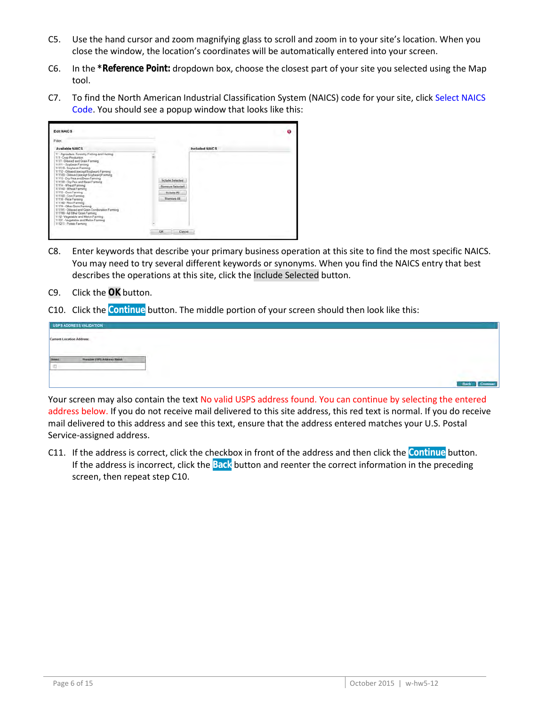- C5. Use the hand cursor and zoom magnifying glass to scroll and zoom in to your site's location. When you close the window, the location's coordinates will be automatically entered into your screen.
- C6. In the **\*Reference Point:** dropdown box, choose the closest part of your site you selected using the Map tool.
- C7. To find the North American Industrial Classification System (NAICS) code for your site, click Select NAICS Code. You should see a popup window that looks like this:

| <b>Edit NAICS</b>                                                                                                                                                                                                                                                                                                                                                                                                                                                                                                                                                                                                                                                                                                       |                                                                                    | ø |
|-------------------------------------------------------------------------------------------------------------------------------------------------------------------------------------------------------------------------------------------------------------------------------------------------------------------------------------------------------------------------------------------------------------------------------------------------------------------------------------------------------------------------------------------------------------------------------------------------------------------------------------------------------------------------------------------------------------------------|------------------------------------------------------------------------------------|---|
| Filter.                                                                                                                                                                                                                                                                                                                                                                                                                                                                                                                                                                                                                                                                                                                 |                                                                                    |   |
| <b>Available NAICS</b>                                                                                                                                                                                                                                                                                                                                                                                                                                                                                                                                                                                                                                                                                                  | <b>Included NAICS</b>                                                              |   |
| 11 - Agriculture, Forestry, Fishing and Hunting<br>111 - Crop Production<br>1111 - Oilseed and Grain Farming<br>11111 - Soybean Farming<br>111110 - Soybean Farming<br>11112 - Oltseed (except Soybean) Farming<br>111120 - Oliseed (axcept Scybean) Farming<br>11113 - Dry Pea and Bean Farning<br>111130 - Dry Pea and Bean Farming<br>11114 - Wheat Farming<br>111140 - Wheat Farming<br>11115 - Corn Farming<br>111150 - Corn Farming<br>11116 - Rice Farming<br>111160 - Rice Farming<br>11119 - Other Grain Farming<br>111191 - Oilsead and Grain Combination Farming<br>111199 - All Other Grain Farming<br>1112 - Vegetable and Maton Farming<br>11121 - Vegetsble and Melon Farming<br>111211 - Potato Farming | Include Selected<br>Remove Selected<br>Include All<br>Remove All<br>City<br>Cancel |   |

- C8. Enter keywords that describe your primary business operation at this site to find the most specific NAICS. You may need to try several different keywords or synonyms. When you find the NAICS entry that best describes the operations at this site, click the Include Selected button.
- C9. Click the **OK** button.
- C10. Click the **Continue** button. The middle portion of your screen should then look like this:

|                           | USPS ADDRESS VALIDATION     |
|---------------------------|-----------------------------|
| Current Location Address: |                             |
|                           |                             |
|                           | Posaible USPS Address Maler |
|                           |                             |
|                           |                             |
|                           |                             |

Your screen may also contain the text No valid USPS address found. You can continue by selecting the entered address below. If you do not receive mail delivered to this site address, this red text is normal. If you do receive mail delivered to this address and see this text, ensure that the address entered matches your U.S. Postal Service-assigned address.

C11. If the address is correct, click the checkbox in front of the address and then click the **Continue** button. If the address is incorrect, click the **Back** button and reenter the correct information in the preceding screen, then repeat step C10.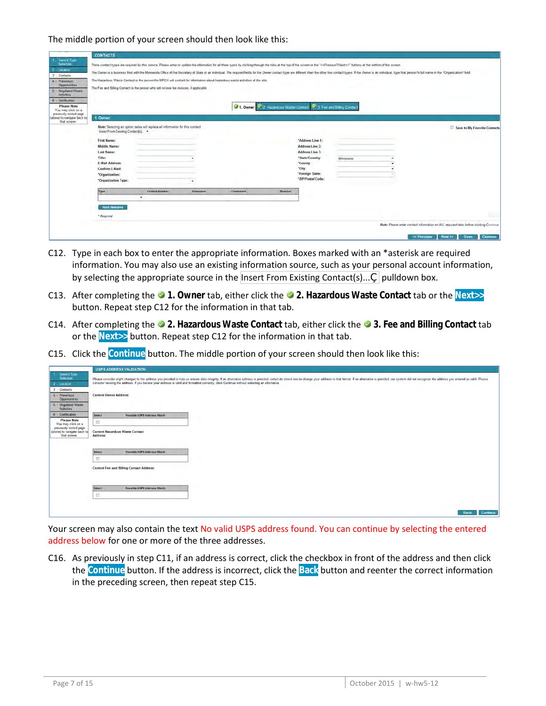|                                                                                                                                                                                                                          | <b>CONTACTS</b>                                                                                                                                                                                                  |                                                                                |           |                                                                                                                                                                                                                                                                                                                                                                                    |               |                                                                                                                                         |            |                                                                                                                                                                                                                                |
|--------------------------------------------------------------------------------------------------------------------------------------------------------------------------------------------------------------------------|------------------------------------------------------------------------------------------------------------------------------------------------------------------------------------------------------------------|--------------------------------------------------------------------------------|-----------|------------------------------------------------------------------------------------------------------------------------------------------------------------------------------------------------------------------------------------------------------------------------------------------------------------------------------------------------------------------------------------|---------------|-----------------------------------------------------------------------------------------------------------------------------------------|------------|--------------------------------------------------------------------------------------------------------------------------------------------------------------------------------------------------------------------------------|
| Service Type<br>Selection<br>Location<br>3 - Contacts<br>4 - Prevention<br>Opportunities<br>Regulated Waste<br>S<br>Activities<br>- Certification<br><b>Please Note</b><br>You may click on a<br>previously visited page | The Fee and Billing Contact is the person who will receive fee invoices, if applicable.                                                                                                                          |                                                                                |           | Three contact types are required by this seriice. Please enter or update the information for all three types by clicking through the tabs at the top of the screen or the " <previous? next="">&gt;" buttons at the bottom of the scr<br/>The Hazardous Waste Contact is the person the MPCA will contact for information about hazardous waste activities at the site</previous?> |               | 3 1. Owner 12 Hazardous Waste Confact 1 3 Fee and Billing Confact                                                                       |            | The Owner is a business fied with the Minnesota Office of the Secretary of State or an individual The required fields for the Owner contact type are different than the other two contact types. If the Owner is an individual |
| (above) to navigate back to<br>that screen                                                                                                                                                                               | 1. Owner<br>Insert From Existing Contact(s). .<br><b>First Name:</b><br>Middle Name:<br><b>Last Name:</b><br>Title:<br><b>E-Mail Address:</b><br><b>Confirm E-Mail:</b><br>"Organization:<br>"Organization Type: | Note: Selecting an option below will replace all information for this contact. |           |                                                                                                                                                                                                                                                                                                                                                                                    |               | "Address Line 1:<br>Address Line 2:<br>Address Line 3:<br>*State/Country:<br>"County:<br>*City:<br>*Foreign State:<br>*ZIP/Postal Code: | Miningsota | Save to My Favorite Contacts                                                                                                                                                                                                   |
|                                                                                                                                                                                                                          | Type<br><b>Add Number</b><br>* Required                                                                                                                                                                          | <b>Contact Number</b><br>٠                                                     | Extension | Comments                                                                                                                                                                                                                                                                                                                                                                           | <b>Remove</b> |                                                                                                                                         |            | Note: Please enter contact information on ALL required tabs before clicking Continue.                                                                                                                                          |

- C12. Type in each box to enter the appropriate information. Boxes marked with an \*asterisk are required information. You may also use an existing information source, such as your personal account information, by selecting the appropriate source in the Insert From Existing Contact(s)..., pulldown box.
- C13. After completing the **1. Owner** tab, either click the **2. Hazardous Waste Contact** tab or the **Next>>** button. Repeat step C12 for the information in that tab.
- C14. After completing the **2. Hazardous Waste Contact** tab, either click the **3. Fee and Billing Contact** tab or the **Next>>** button. Repeat step C12 for the information in that tab.
- C15. Click the **Continue** button. The middle portion of your screen should then look like this:

|                                                                        |                               | <b>USPS ADDRESS VALIDATION</b>                  |                                                                                                                                                                                                                                |                  |
|------------------------------------------------------------------------|-------------------------------|-------------------------------------------------|--------------------------------------------------------------------------------------------------------------------------------------------------------------------------------------------------------------------------------|------------------|
| Service Type<br>Selection                                              |                               |                                                 | Please consider slight changes to the address you provided to help us ensure data integrity. If an alternative address is provided, select its check box to change your address to that format. If no alternative address in p |                  |
| 2 - Location                                                           |                               |                                                 | consider revising the address. If you believe your address is valid and formatted correctly, click Continue without selecting an alternative.                                                                                  |                  |
| 3 - Contacts                                                           |                               |                                                 |                                                                                                                                                                                                                                |                  |
| 4 - Prevention<br>Opportunities                                        | <b>Current Owner Address:</b> |                                                 |                                                                                                                                                                                                                                |                  |
| 5 : Regulated Waste<br><b>Activities</b>                               |                               |                                                 |                                                                                                                                                                                                                                |                  |
| 6 - Certification                                                      | Select                        | Possible USPS Address Match                     |                                                                                                                                                                                                                                |                  |
| <b>Please Note</b><br>You may click on a                               | 西                             |                                                 |                                                                                                                                                                                                                                |                  |
| previously visited page<br>(above) to navigate back to<br>that screen. | Address:                      | <b>Current Hazardous Waste Contact</b>          |                                                                                                                                                                                                                                |                  |
|                                                                        | Select                        | Possible USPS Address Match                     |                                                                                                                                                                                                                                |                  |
|                                                                        | Ð                             |                                                 |                                                                                                                                                                                                                                |                  |
|                                                                        |                               | <b>Current Fee and Billing Contact Address:</b> |                                                                                                                                                                                                                                |                  |
|                                                                        | Select                        | Possible USPS Address Match                     |                                                                                                                                                                                                                                |                  |
|                                                                        | 目                             |                                                 |                                                                                                                                                                                                                                |                  |
|                                                                        |                               |                                                 |                                                                                                                                                                                                                                |                  |
|                                                                        |                               |                                                 |                                                                                                                                                                                                                                | Back<br>Continue |

Your screen may also contain the text No valid USPS address found. You can continue by selecting the entered address below for one or more of the three addresses.

C16. As previously in step C11, if an address is correct, click the checkbox in front of the address and then click the **Continue** button. If the address is incorrect, click the **Back** button and reenter the correct information in the preceding screen, then repeat step C15.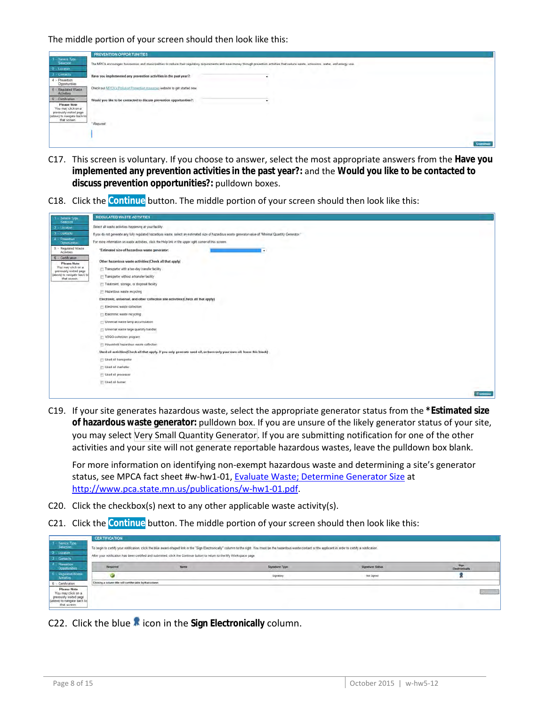

- C17. This screen is voluntary. If you choose to answer, select the most appropriate answers from the **Have you implemented any prevention activities in the past year?:** and the **Would you like to be contacted to discuss prevention opportunities?:** pulldown boxes.
- C18. Click the **Continue** button. The middle portion of your screen should then look like this:



C19. If your site generates hazardous waste, select the appropriate generator status from the **\*Estimated size of hazardous waste generator:** pulldown box. If you are unsure of the likely generator status of your site, you may select Very Small Quantity Generator. If you are submitting notification for one of the other activities and your site will not generate reportable hazardous wastes, leave the pulldown box blank.

For more information on identifying non-exempt hazardous waste and determining a site's generator status, see MPCA fact sheet #w-hw1-01, [Evaluate Waste; Determine Generator Size](http://www.pca.state.mn.us/index.php/view-document.html?gid=4030) at [http://www.pca.state.mn.us/publications/w-hw1-01.pdf.](http://www.pca.state.mn.us/publications/w-hw1-01.pdf)

- C20. Click the checkbox(s) next to any other applicable waste activity(s).
- C21. Click the **Continue** button. The middle portion of your screen should then look like this:

|                                                                                                            | <b>CERTIFICATION</b>                                        |                                                                                                                         |                                                                                                                                                                                                                       |                  |                        |
|------------------------------------------------------------------------------------------------------------|-------------------------------------------------------------|-------------------------------------------------------------------------------------------------------------------------|-----------------------------------------------------------------------------------------------------------------------------------------------------------------------------------------------------------------------|------------------|------------------------|
| $t -$ Service Type<br>Selection                                                                            |                                                             |                                                                                                                         | To begin to certify your notification, click the blue award-shaped link in the "Sign Electronically" column to the right. You must be the hazardous waste contact or the applicant in order to certify a notification |                  |                        |
| $2 -$ Location                                                                                             |                                                             |                                                                                                                         |                                                                                                                                                                                                                       |                  |                        |
| $3 -$ Gantacts                                                                                             |                                                             | After your notification has been certified and submitted, click the Continue button to return to the My Workspace page. |                                                                                                                                                                                                                       |                  |                        |
| Prevention<br>Opportunities                                                                                | Regaired                                                    | <b>Narme</b>                                                                                                            | Signature Type                                                                                                                                                                                                        | Signature Status | Sign<br>Electronically |
| - Regulated Waste<br><b>Activities</b>                                                                     |                                                             |                                                                                                                         | Signatory                                                                                                                                                                                                             | Not Signed       |                        |
| 6 - Centification                                                                                          | Clicking a column title will sort the table by that column. |                                                                                                                         |                                                                                                                                                                                                                       |                  |                        |
| Please Note<br>You may click on a<br>previously visited page<br>(above) to navigate back to<br>that screen |                                                             |                                                                                                                         |                                                                                                                                                                                                                       |                  | <b>Comput</b>          |

C22. Click the blue **in** icon in the Sign Electronically column.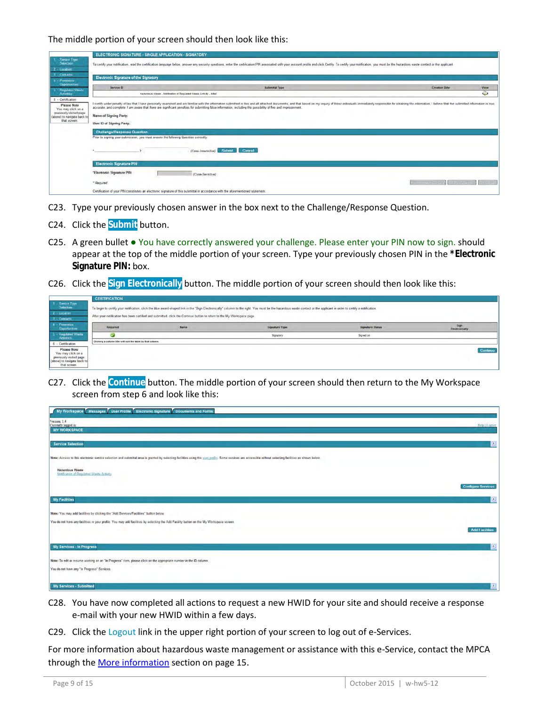|                                                                                                                                         | ELECTRONIC SIGNATURE - SINGLE APPLICATION - SIGNATORY                               |                                                                                                                                                                                                                                                                                                                                                                                                 |                                     |                |
|-----------------------------------------------------------------------------------------------------------------------------------------|-------------------------------------------------------------------------------------|-------------------------------------------------------------------------------------------------------------------------------------------------------------------------------------------------------------------------------------------------------------------------------------------------------------------------------------------------------------------------------------------------|-------------------------------------|----------------|
| Service Type<br><b>Selection</b><br>$2 -$ Lucation                                                                                      |                                                                                     | To certify your notification, read the certification language below, answer any security questions, enter the certification PIN associated with your account proble and click Certify. To certify your notification, you must                                                                                                                                                                   |                                     |                |
| 3 Contacts<br>4 - Prevention                                                                                                            | <b>Electronic Signature of the Signatory</b>                                        |                                                                                                                                                                                                                                                                                                                                                                                                 |                                     |                |
| Opportunities<br>5. - Regulated Waste                                                                                                   | Service ID                                                                          | Submittal Type                                                                                                                                                                                                                                                                                                                                                                                  | <b>Creation Date</b>                | View           |
| <b>Activena</b>                                                                                                                         |                                                                                     | Razardous Waste - Notification of Regulated Waste Activity - Initial                                                                                                                                                                                                                                                                                                                            |                                     | $\bullet$      |
| 6 - Certification<br><b>Please Note</b><br>You may click on a<br>previously visited page<br>(above) to navigate back to<br>that screen. | <b>Name of Signing Party:</b><br>User ID of Signing Party:                          | I certify under penalty of law that I have personally examined and am familiar with the information submitted in this and all attached documents, and that based on my inquiry of those individuals immediately responsible fo<br>accurate, and complete. I am aware that there are significant penalties for submitting false information, including the possibility of fine and imprisonment. |                                     |                |
|                                                                                                                                         | <b>Challenga/Response Question</b>                                                  |                                                                                                                                                                                                                                                                                                                                                                                                 |                                     |                |
|                                                                                                                                         | Prior to signing your submission, you must answer the following Question correctly. |                                                                                                                                                                                                                                                                                                                                                                                                 |                                     |                |
|                                                                                                                                         |                                                                                     | Submit<br><b>Cancel</b><br>(Case-Insensitive)                                                                                                                                                                                                                                                                                                                                                   |                                     |                |
|                                                                                                                                         | <b>Electronic Signature PIN</b>                                                     |                                                                                                                                                                                                                                                                                                                                                                                                 |                                     |                |
|                                                                                                                                         | "Electronic Signature PIN:                                                          | (Case-Sensitive)                                                                                                                                                                                                                                                                                                                                                                                |                                     |                |
|                                                                                                                                         | * Required                                                                          |                                                                                                                                                                                                                                                                                                                                                                                                 | Form the first city of the state of | <b>Company</b> |
|                                                                                                                                         |                                                                                     | Certification of your PfN constitutes an electronic signature of this submittal in accordance with the aforementioned statement.                                                                                                                                                                                                                                                                |                                     |                |

- C23. Type your previously chosen answer in the box next to the Challenge/Response Question.
- C24. Click the **Submit** button.
- C25. A green bullet You have correctly answered your challenge. Please enter your PIN now to sign. should appear at the top of the middle portion of your screen. Type your previously chosen PIN in the **\*Electronic Signature PIN:** box.
- C26. Click the **Sign Electronically** button. The middle portion of your screen should then look like this:

|                                                                                                                    | <b>CERTIFICATION</b>                                        |                                                                                                                         |                                                                                                                                                                                                                        |                         |                        |
|--------------------------------------------------------------------------------------------------------------------|-------------------------------------------------------------|-------------------------------------------------------------------------------------------------------------------------|------------------------------------------------------------------------------------------------------------------------------------------------------------------------------------------------------------------------|-------------------------|------------------------|
| 1 - Service Type<br>Selection                                                                                      |                                                             |                                                                                                                         | To begin to certify your notification, click the blue award-shaped link in the "Sign Electronically" columm to the right. You must be the hazardous waste contact or the applicant in order to certify a notification. |                         |                        |
| 2 - Location                                                                                                       |                                                             | After your notification has been certified and submitted, click the Continue button to return to the My Workspace page. |                                                                                                                                                                                                                        |                         |                        |
| 3 - Contacts                                                                                                       |                                                             |                                                                                                                         |                                                                                                                                                                                                                        |                         |                        |
| 4 - Prevention<br><b>Opportunities</b>                                                                             | <b>Required</b>                                             | Name                                                                                                                    | Signature Type                                                                                                                                                                                                         | <b>Signature Status</b> | Sign<br>Electronically |
| 5 - Regulated Waste<br><b>Activities</b>                                                                           |                                                             |                                                                                                                         | Signatory                                                                                                                                                                                                              | Signed on               |                        |
| 6 - Certification                                                                                                  | Clicking a column title will sort the table by that column. |                                                                                                                         |                                                                                                                                                                                                                        |                         |                        |
| <b>Please Note</b><br>You may click on a<br>previously visited page<br>(above) to navigate back to<br>that screen. |                                                             |                                                                                                                         |                                                                                                                                                                                                                        |                         | Continue               |

C27. Click the **Continue** button. The middle portion of your screen should then return to the My Workspace screen from step 6 and look like this:

| My Workspace Messages User Profile Electronic Signature Documents and Forms                                                                                                                               |                           |
|-----------------------------------------------------------------------------------------------------------------------------------------------------------------------------------------------------------|---------------------------|
| Version: 1.4<br>Currently logged in:<br><b>MY WORKSPACE</b>                                                                                                                                               | Help   Logont             |
| <b>Service Selection</b>                                                                                                                                                                                  | $\circ$                   |
| Note: Access to this electronic service selection and submittal area is granted by selecting facilities using the user profile. Some services are accessible without selecting facilities as shown below. |                           |
| <b>Hazardous Waste</b><br>Notification of Regulated Waste Activity                                                                                                                                        |                           |
|                                                                                                                                                                                                           | <b>Configure Services</b> |
| <b>My Facilities</b>                                                                                                                                                                                      | $\approx$                 |
| Note: You may add facilities by clicking the "Add Services/Facilities" button below.                                                                                                                      |                           |
| You do not have any facilities in your profile. You may add facilities by selecting the Add Facility button on the My Workspace screen.                                                                   | <b>Add Facilities</b>     |
| <b>My Services - In Progress</b>                                                                                                                                                                          | $\sqrt{3}$                |
| Note: To edit or resume working on an "In Progress" item, please click on the appropriate number in the ID column.                                                                                        |                           |
| You do not have any "In Progress" Services.                                                                                                                                                               |                           |
| My Services - Submitted                                                                                                                                                                                   | $\triangle$               |

- C28. You have now completed all actions to request a new HWID for your site and should receive a response e-mail with your new HWID within a few days.
- C29. Click the Logout link in the upper right portion of your screen to log out of e-Services.

For more information about hazardous waste management or assistance with this e-Service, contact the MPCA through th[e More information](#page-14-0) section on page 15.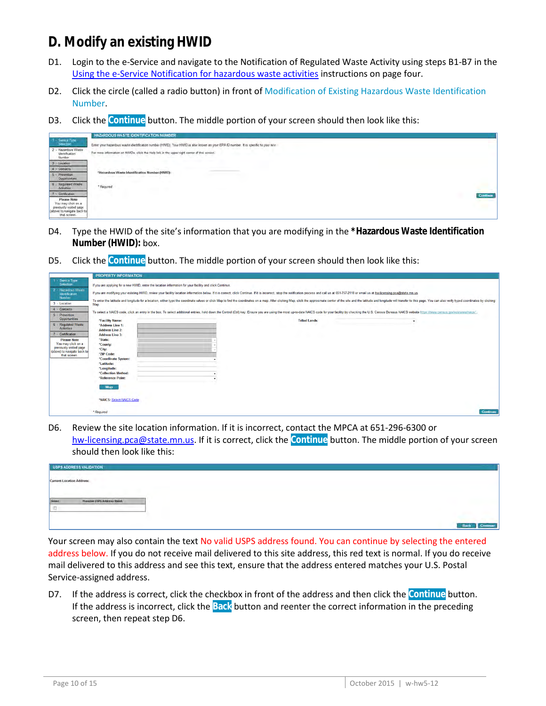## <span id="page-9-0"></span>**D. Modify an existing HWID**

- D1. Login to the e-Service and navigate to the Notification of Regulated Waste Activity using steps B1-B7 in the [Using the e-Service Notification for hazardous waste activities](#page-3-0) instructions on page four.
- D2. Click the circle (called a radio button) in front of Modification of Existing Hazardous Waste Identification Number.
- D3. Click the **Continue** button. The middle portion of your screen should then look like this:



- D4. Type the HWID of the site's information that you are modifying in the **\*Hazardous Waste Identification Number (HWID):** box.
- D5. Click the **Continue** button. The middle portion of your screen should then look like this:

|                                                        | <b>PROPERTY INFORMATION</b>              |                                                                                                                                                                                                                                |                          |
|--------------------------------------------------------|------------------------------------------|--------------------------------------------------------------------------------------------------------------------------------------------------------------------------------------------------------------------------------|--------------------------|
| Service Type<br>Selection                              |                                          | If you are applying for a new HWID, enter the location information for your facility and click Continue.                                                                                                                       |                          |
| Hazardous Waste<br>Identification<br>Number            |                                          | If you are modifying your existing HWID, review your facility location information below. If it is correct, click Continue. If it is incorrect, stop the notification process and call us at 651-757-2118 or email us at hw-li |                          |
| 3 - Location                                           | Map.                                     | To enter the latitude and longitude for a location, either type the coordinate values or click Map to find the coordinates on a map. After clicking Map, click the approximate center of the site and the latitude and longitu |                          |
| 4 - Contacts<br>5 - Prevention                         |                                          | To select a NAICS code, click an entry in the box. To select additional entries, hold down the Control (Ctrl) key. Ensure you are using the most up-to-date NAICS code for your facility by checking the U.S. Census Bureaus N |                          |
| Opportunities                                          | "Facility Name:                          | <b>Tribal Lands:</b>                                                                                                                                                                                                           | $\overline{\phantom{a}}$ |
| 6 - Regulated Waste                                    | "Address Line 1:                         |                                                                                                                                                                                                                                |                          |
| <b>Activities</b>                                      | <b>Address Line 2:</b>                   |                                                                                                                                                                                                                                |                          |
| - Certification                                        | <b>Address Line 3:</b>                   |                                                                                                                                                                                                                                |                          |
| <b>Please Note</b>                                     | *State:                                  |                                                                                                                                                                                                                                |                          |
| You may click on a                                     | "County:                                 |                                                                                                                                                                                                                                |                          |
| previously visited page<br>(above) to navigate back to | "City:                                   |                                                                                                                                                                                                                                |                          |
| that screen.                                           | "ZIP Code:                               |                                                                                                                                                                                                                                |                          |
|                                                        | "Coordinate System:                      |                                                                                                                                                                                                                                |                          |
|                                                        | "Latitude:                               |                                                                                                                                                                                                                                |                          |
|                                                        | "Longitude:                              |                                                                                                                                                                                                                                |                          |
|                                                        | "Collection Method:<br>"Reference Point: |                                                                                                                                                                                                                                |                          |
|                                                        |                                          |                                                                                                                                                                                                                                |                          |
|                                                        | Map                                      |                                                                                                                                                                                                                                |                          |
|                                                        |                                          |                                                                                                                                                                                                                                |                          |
|                                                        |                                          |                                                                                                                                                                                                                                |                          |
|                                                        | "NAICS: Select NAICS Code                |                                                                                                                                                                                                                                |                          |
|                                                        | * Required                               |                                                                                                                                                                                                                                | Continue                 |
|                                                        |                                          |                                                                                                                                                                                                                                |                          |

D6. Review the site location information. If it is incorrect, contact the MPCA at 651-296-6300 or [hw-licensing.pca@state.mn.us.](mailto:hw-licensing.pca@state.mn.us) If it is correct, click the **Continue** button. The middle portion of your screen should then look like this:

| <b>Current Location Address:</b><br>Posaible USPS Address Maler | USPS ADDRESS VALIDATION |
|-----------------------------------------------------------------|-------------------------|
|                                                                 |                         |
|                                                                 |                         |
|                                                                 |                         |
|                                                                 |                         |
|                                                                 |                         |
|                                                                 |                         |

Your screen may also contain the text No valid USPS address found. You can continue by selecting the entered address below. If you do not receive mail delivered to this site address, this red text is normal. If you do receive mail delivered to this address and see this text, ensure that the address entered matches your U.S. Postal Service-assigned address.

D7. If the address is correct, click the checkbox in front of the address and then click the **Continue** button. If the address is incorrect, click the **Back** button and reenter the correct information in the preceding screen, then repeat step D6.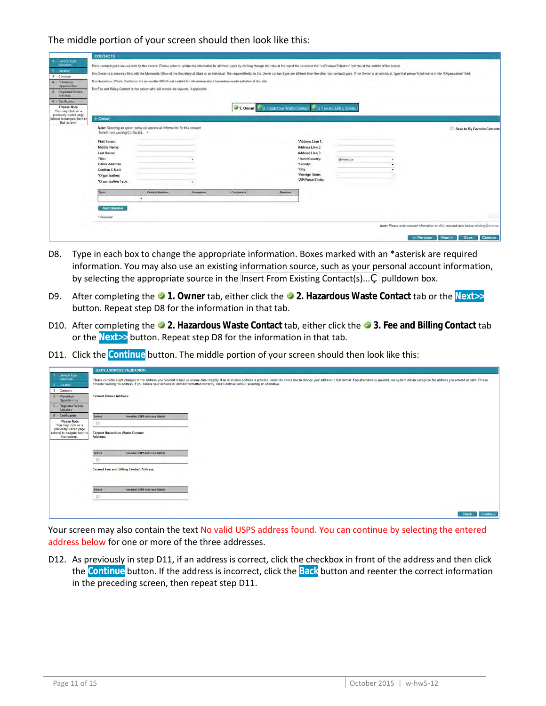|                                                                                                                                                                                                                                                                       | <b>CONTACTS</b>                                                                                                                                                                                                                     |                                                                                |           |          |                                                                                                                                                                                                                                                                                                                                                                                                                                                                                                                                                            |            |  |                                                                                       |
|-----------------------------------------------------------------------------------------------------------------------------------------------------------------------------------------------------------------------------------------------------------------------|-------------------------------------------------------------------------------------------------------------------------------------------------------------------------------------------------------------------------------------|--------------------------------------------------------------------------------|-----------|----------|------------------------------------------------------------------------------------------------------------------------------------------------------------------------------------------------------------------------------------------------------------------------------------------------------------------------------------------------------------------------------------------------------------------------------------------------------------------------------------------------------------------------------------------------------------|------------|--|---------------------------------------------------------------------------------------|
| Service Type<br>Selection<br><b>Location</b><br>3 - Contacts<br>4 - Prevention<br>Opportunities<br>- Regulated Waste<br><b>S</b><br>Activities<br>Certification<br><b>Please Note</b><br>You may click on a<br>previously visited page<br>(above) to navigate back to | The Hazardous Waste Contact is the person the MPCA will contact for information about hazardous waste activities at the site<br>The Fee and Billing Contact is the person who will receive fee invoices, if applicable.<br>1. Owner |                                                                                |           |          | Three contact types are required by this series. Please enter or update the information for all three types by clicking through the tabs at the top of the screen or the "< <previous? next="">&gt;" buttons at the bottom of the scr<br/>The Owner is a business fied with the Minnesota Office of the Secretary of State or an individual The required fields for the Owner contact type are different than the other two contact types. If the Owner is an individual<br/>4. Owner 34 2 Hazardous Waste Contact 3 5 Fee and Billing Contact</previous?> |            |  |                                                                                       |
| that screen                                                                                                                                                                                                                                                           | Insert From Existing Contact(s). .<br>First Name:<br>Middle Name:<br><b>Last Name:</b><br>Title:<br>E-Mail Address:<br><b>Confirm E-Mail:</b><br>"Organization:<br>*Organization Type:                                              | Note: Selecting an option below will replace all information for this contact. |           |          | "Address Line 1:<br>Address Line 2:<br>Address Line 3:<br>*State/Country:<br>"County:<br>*City:<br>"Foreign State:<br>*ZIP/Postal Code:                                                                                                                                                                                                                                                                                                                                                                                                                    | Miningsota |  | Save to My Favorite Contacts                                                          |
|                                                                                                                                                                                                                                                                       | Type<br><b>Add Number</b><br>* Required                                                                                                                                                                                             | <b>Contact Aumber</b><br>$\overline{\phantom{a}}$                              | Extension | Comments | <b>Remove</b>                                                                                                                                                                                                                                                                                                                                                                                                                                                                                                                                              |            |  | Note: Please enter contact information on ALL required tabs before clicking Continue. |
|                                                                                                                                                                                                                                                                       |                                                                                                                                                                                                                                     |                                                                                |           |          |                                                                                                                                                                                                                                                                                                                                                                                                                                                                                                                                                            |            |  | Nost 25<br>Continue<br><b>Save</b>                                                    |

- D8. Type in each box to change the appropriate information. Boxes marked with an \*asterisk are required information. You may also use an existing information source, such as your personal account information, by selecting the appropriate source in the Insert From Existing Contact(s)...,  $\vert$  pulldown box.
- D9. After completing the **1. Owner** tab, either click the **2. Hazardous Waste Contact** tab or the **Next>>** button. Repeat step D8 for the information in that tab.
- D10. After completing the **2. Hazardous Waste Contact** tab, either click the **3. Fee and Billing Contact** tab or the **Next>>** button. Repeat step D8 for the information in that tab.
- D11. Click the **Continue** button. The middle portion of your screen should then look like this:

|                                                                        |                               | <b>USPS ADDRESS VALIDATION</b>                                                                                                                                                                                                 |
|------------------------------------------------------------------------|-------------------------------|--------------------------------------------------------------------------------------------------------------------------------------------------------------------------------------------------------------------------------|
| Service Type<br>Selection                                              |                               | Please consider slight changes to the address you provided to help us ensure data integrity. If an alternative address is provided, select its check box to change your address to that format. If no alternative as provided, |
| 2 - Location                                                           |                               | consider revising the address. If you believe your address is valid and formatted correctly, click Continue without selecting an alternative.                                                                                  |
| 3 - Contacts                                                           |                               |                                                                                                                                                                                                                                |
| 4 - Prevention<br>Opportunities                                        | <b>Current Owner Address:</b> |                                                                                                                                                                                                                                |
| 5 - Regulated Waste<br><b>Activities</b>                               |                               |                                                                                                                                                                                                                                |
| 6 - Certification                                                      | Select                        | Possible USPS Address Match                                                                                                                                                                                                    |
| <b>Please Note</b><br>You may click on a                               | 挡                             |                                                                                                                                                                                                                                |
| previously visited page<br>(above) to navigate back to<br>that screen. | Address:                      | <b>Current Hazardous Waste Contact</b>                                                                                                                                                                                         |
|                                                                        | Select                        | Possible USPS Address Match                                                                                                                                                                                                    |
|                                                                        | Đ                             |                                                                                                                                                                                                                                |
|                                                                        |                               | <b>Current Fee and Billing Contact Address:</b>                                                                                                                                                                                |
|                                                                        | Select                        | Possible USPS Address Match                                                                                                                                                                                                    |
|                                                                        | 目                             |                                                                                                                                                                                                                                |
|                                                                        |                               |                                                                                                                                                                                                                                |
|                                                                        |                               |                                                                                                                                                                                                                                |
|                                                                        |                               | <b>Back</b><br>Continue                                                                                                                                                                                                        |

Your screen may also contain the text No valid USPS address found. You can continue by selecting the entered address below for one or more of the three addresses.

D12. As previously in step D11, if an address is correct, click the checkbox in front of the address and then click the **Continue** button. If the address is incorrect, click the **Back** button and reenter the correct information in the preceding screen, then repeat step D11.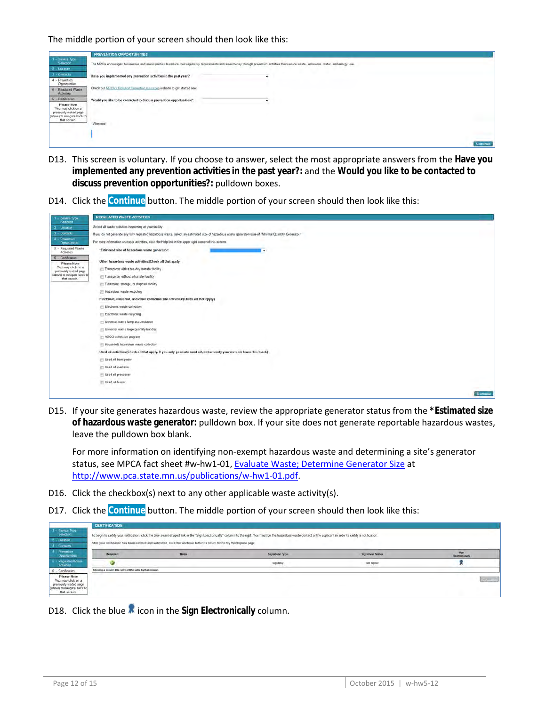

- D13. This screen is voluntary. If you choose to answer, select the most appropriate answers from the **Have you implemented any prevention activities in the past year?:** and the **Would you like to be contacted to discuss prevention opportunities?:** pulldown boxes.
- D14. Click the **Continue** button. The middle portion of your screen should then look like this:



D15. If your site generates hazardous waste, review the appropriate generator status from the **\*Estimated size of hazardous waste generator:** pulldown box. If your site does not generate reportable hazardous wastes, leave the pulldown box blank.

For more information on identifying non-exempt hazardous waste and determining a site's generator status, see MPCA fact sheet #w-hw1-01, [Evaluate Waste; Determine Generator Size](http://www.pca.state.mn.us/index.php/view-document.html?gid=4030) at [http://www.pca.state.mn.us/publications/w-hw1-01.pdf.](http://www.pca.state.mn.us/publications/w-hw1-01.pdf)

- D16. Click the checkbox(s) next to any other applicable waste activity(s).
- D17. Click the **Continue** button. The middle portion of your screen should then look like this:

|                                                                                                                   | <b>CERTIFICATION</b>                                        |                                                                                                                         |                                                                                                                                                                                                                      |                         |                        |
|-------------------------------------------------------------------------------------------------------------------|-------------------------------------------------------------|-------------------------------------------------------------------------------------------------------------------------|----------------------------------------------------------------------------------------------------------------------------------------------------------------------------------------------------------------------|-------------------------|------------------------|
| $t =$ Service Type<br>Selection                                                                                   |                                                             |                                                                                                                         | To begin to certify your notification, click the blue award-shaped link in the "Sign Electronically" column to the nght. You must be the hazardous waste contact or the applicant in order to certify a notification |                         |                        |
| $2 -$ Location                                                                                                    |                                                             | After your notification has been certified and submitted, click the Continue button to return to the My Workspace page. |                                                                                                                                                                                                                      |                         |                        |
| $I -$ Gantacts                                                                                                    |                                                             |                                                                                                                         |                                                                                                                                                                                                                      |                         |                        |
| $4$ Prevention<br>Opportunities                                                                                   | Regaired                                                    | <b>Name</b>                                                                                                             | <b>Signature Type</b>                                                                                                                                                                                                | <b>Signature Status</b> | 3kgm<br>Electronically |
| 5 - Regulated Waste<br><b>Activities</b>                                                                          |                                                             |                                                                                                                         | Signatory                                                                                                                                                                                                            | Not Signed              |                        |
| - Certification                                                                                                   | Clicking a column title will sort the table by that column. |                                                                                                                         |                                                                                                                                                                                                                      |                         |                        |
| <b>Please Note</b><br>You may click on a<br>previously visited page<br>(above) to navigate back to<br>that screen |                                                             |                                                                                                                         |                                                                                                                                                                                                                      |                         | <b>Community</b>       |

D18. Click the blue **M** icon in the Sign Electronically column.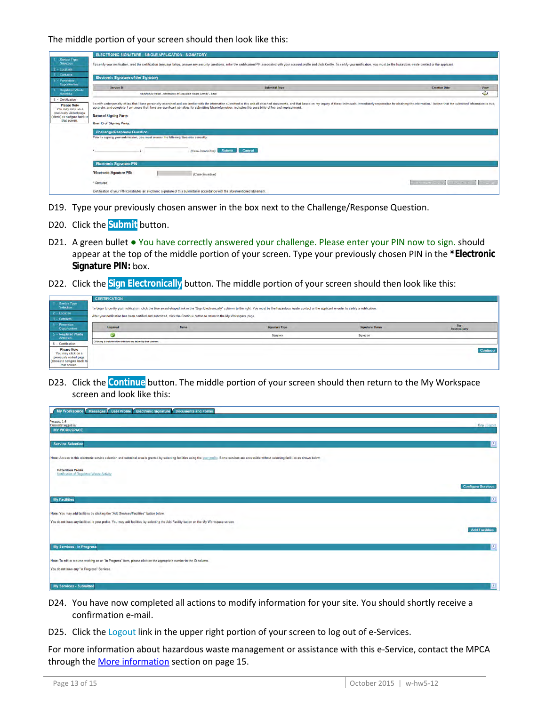|                                                                                                                                         | ELECTRONIC SIGNATURE - SINGLE APPLICATION - SIGNATORY                                                                                                                                                                         |                                                                                                                                                                                                                                                                                                                                                                                                 |  |                                     |                |  |
|-----------------------------------------------------------------------------------------------------------------------------------------|-------------------------------------------------------------------------------------------------------------------------------------------------------------------------------------------------------------------------------|-------------------------------------------------------------------------------------------------------------------------------------------------------------------------------------------------------------------------------------------------------------------------------------------------------------------------------------------------------------------------------------------------|--|-------------------------------------|----------------|--|
| Service Type<br><b>Selection</b><br>$2 -$ Lucation                                                                                      | To certify your notification, read the certification language below, answer any security questions, enter the certification PIN associated with your account proble and click Certify. To certify your notification, you must |                                                                                                                                                                                                                                                                                                                                                                                                 |  |                                     |                |  |
| 3 Contacts<br>4 - Prevention                                                                                                            | <b>Electronic Signature of the Signatory</b>                                                                                                                                                                                  |                                                                                                                                                                                                                                                                                                                                                                                                 |  |                                     |                |  |
| Opportunities<br>5. - Regulated Waste                                                                                                   | Service ID                                                                                                                                                                                                                    | Submittal Type                                                                                                                                                                                                                                                                                                                                                                                  |  | <b>Creation Date</b>                | View           |  |
| <b>Activena</b>                                                                                                                         |                                                                                                                                                                                                                               | Razardous Waste - Notification of Regulated Waste Activity - Initial                                                                                                                                                                                                                                                                                                                            |  |                                     | $\bullet$      |  |
| 6 - Certification<br><b>Please Note</b><br>You may click on a<br>previously visited page<br>(above) to navigate back to<br>that screen. | <b>Name of Signing Party:</b><br>User ID of Signing Party:                                                                                                                                                                    | I certify under penalty of law that I have personally examined and am familiar with the information submitted in this and all attached documents, and that based on my inquiry of those individuals immediately responsible fo<br>accurate, and complete. I am aware that there are significant penalties for submitting false information, including the possibility of fine and imprisonment. |  |                                     |                |  |
|                                                                                                                                         | <b>Challenga/Response Question</b>                                                                                                                                                                                            |                                                                                                                                                                                                                                                                                                                                                                                                 |  |                                     |                |  |
|                                                                                                                                         | Prior to signing your submission, you must answer the following Question correctly.                                                                                                                                           |                                                                                                                                                                                                                                                                                                                                                                                                 |  |                                     |                |  |
|                                                                                                                                         |                                                                                                                                                                                                                               | Submit<br><b>Cancel</b><br>(Case-Insensitive)                                                                                                                                                                                                                                                                                                                                                   |  |                                     |                |  |
|                                                                                                                                         | <b>Electronic Signature PIN</b>                                                                                                                                                                                               |                                                                                                                                                                                                                                                                                                                                                                                                 |  |                                     |                |  |
|                                                                                                                                         | "Electronic Signature PIN:                                                                                                                                                                                                    | (Case-Sensitive)                                                                                                                                                                                                                                                                                                                                                                                |  |                                     |                |  |
|                                                                                                                                         | * Required                                                                                                                                                                                                                    |                                                                                                                                                                                                                                                                                                                                                                                                 |  | Form the first city of the state of | <b>Company</b> |  |
|                                                                                                                                         |                                                                                                                                                                                                                               | Certification of your PfN constitutes an electronic signature of this submittal in accordance with the aforementioned statement.                                                                                                                                                                                                                                                                |  |                                     |                |  |

- D19. Type your previously chosen answer in the box next to the Challenge/Response Question.
- D20. Click the **Submit** button.
- D21. A green bullet You have correctly answered your challenge. Please enter your PIN now to sign. should appear at the top of the middle portion of your screen. Type your previously chosen PIN in the **\*Electronic Signature PIN:** box.
- D22. Click the **Sign Electronically** button. The middle portion of your screen should then look like this:

|                                                                                                                    | <b>CERTIFICATION</b>                                        |                                                                                                                         |                                                                                                                                                                                                                        |                         |                        |
|--------------------------------------------------------------------------------------------------------------------|-------------------------------------------------------------|-------------------------------------------------------------------------------------------------------------------------|------------------------------------------------------------------------------------------------------------------------------------------------------------------------------------------------------------------------|-------------------------|------------------------|
| 1 - Service Type<br>Selection                                                                                      |                                                             |                                                                                                                         | To begin to certify your notification, click the blue award-shaped link in the "Sign Electronically" columm to the right. You must be the hazardous waste contact or the applicant in order to certify a notification. |                         |                        |
| 2 Location                                                                                                         |                                                             | After your notification has been certified and submitted, click the Continue button to return to the My Workspace page. |                                                                                                                                                                                                                        |                         |                        |
| 3 - Contacts                                                                                                       |                                                             |                                                                                                                         |                                                                                                                                                                                                                        |                         |                        |
| 4 - Prevention<br><b>Opportunities</b>                                                                             | Required                                                    | <b>Name</b>                                                                                                             | Signature Type                                                                                                                                                                                                         | <b>Signature Status</b> | Sign<br>Electronically |
| 5 - Regulated Waste<br>Activities                                                                                  | ĸ                                                           |                                                                                                                         | Signatory                                                                                                                                                                                                              | Signed on               |                        |
| 6 - Certification                                                                                                  | Clicking a column title will sort the table by that column. |                                                                                                                         |                                                                                                                                                                                                                        |                         |                        |
| <b>Please Note</b><br>You may click on a<br>previously visited page<br>(above) to navigate back to<br>that screen. |                                                             |                                                                                                                         |                                                                                                                                                                                                                        |                         | Continue               |

D23. Click the **Continue** button. The middle portion of your screen should then return to the My Workspace screen and look like this:

| My Workspace Messages User Profile Electronic Signature Documents and Forms                                                                                                                               |                           |
|-----------------------------------------------------------------------------------------------------------------------------------------------------------------------------------------------------------|---------------------------|
| Version: 1.4<br>Currently logged in:<br><b>MY WORKSPACE</b>                                                                                                                                               | Help   Logont             |
| <b>Service Selection</b>                                                                                                                                                                                  | $  \circ  $               |
| Note: Access to this electronic service selection and submittal area is granted by selecting facilities using the user profile. Some services are accessible without selecting facilities as shown below. |                           |
| <b>Hazardous Waste</b><br>Notification of Regulated Waste Activity                                                                                                                                        |                           |
|                                                                                                                                                                                                           | <b>Configure Services</b> |
| <b>My Facilities</b>                                                                                                                                                                                      | z                         |
| Note: You may add facilities by clicking the "Add Services/Facilities" button below.                                                                                                                      |                           |
| You do not have any facilities in your profile. You may add facilities by selecting the Add Facility button on the My Workspace screen.                                                                   | <b>Add Facilities</b>     |
| <b>My Services - In Progress</b>                                                                                                                                                                          | 2                         |
| Note: To edit or resume working on an "In Progress" item, please click on the appropriate number in the ID column.                                                                                        |                           |
| You do not have any "In Progress" Services.                                                                                                                                                               |                           |
| <b>My Services - Submitted</b>                                                                                                                                                                            | $\mathbf{z}$              |

- D24. You have now completed all actions to modify information for your site. You should shortly receive a confirmation e-mail.
- D25. Click the Logout link in the upper right portion of your screen to log out of e-Services.

For more information about hazardous waste management or assistance with this e-Service, contact the MPCA through th[e More information](#page-14-0) section on page 15.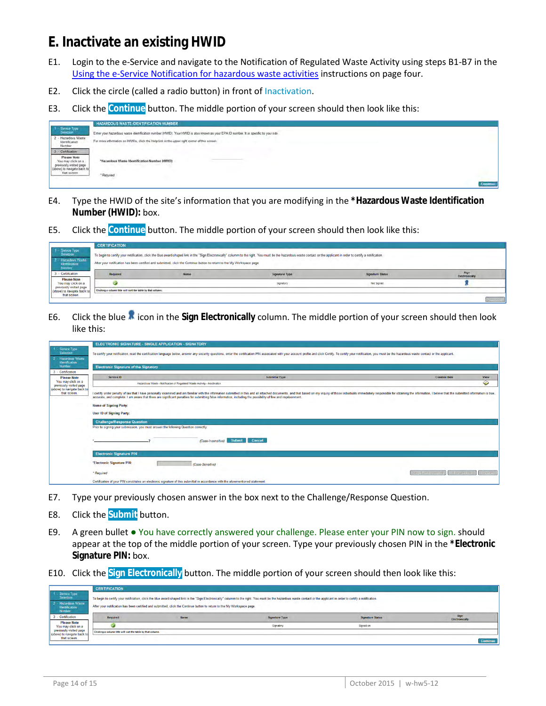#### <span id="page-13-0"></span>**E. Inactivate an existing HWID**

- E1. Login to the e-Service and navigate to the Notification of Regulated Waste Activity using steps B1-B7 in the [Using the e-Service Notification for hazardous waste activities](#page-3-0) instructions on page four.
- E2. Click the circle (called a radio button) in front of Inactivation.
- E3. Click the **Continue** button. The middle portion of your screen should then look like this:



- E4. Type the HWID of the site's information that you are modifying in the **\*Hazardous Waste Identification Number (HWID):** box.
- E5. Click the **Continue** button. The middle portion of your screen should then look like this:

|                                                                                               | <b>CERTIFICATION</b>                                                                                                                                                                                                                                                                                                                              |             |                |                         |                               |
|-----------------------------------------------------------------------------------------------|---------------------------------------------------------------------------------------------------------------------------------------------------------------------------------------------------------------------------------------------------------------------------------------------------------------------------------------------------|-------------|----------------|-------------------------|-------------------------------|
| Service Type<br>Selection<br><b>Hazanbars Waste</b><br><b>Identification</b><br><b>Number</b> | To begin to certify your notification, click the blue award-shaped link in the "Sign Electronically" column to the right. You must be the hazardous waste contact or the applicant in order to certify a notification.<br>After your notification has been certified and submitted, click the Continue button to return to the My Workspace page. |             |                |                         |                               |
| - Certification                                                                               | Required                                                                                                                                                                                                                                                                                                                                          | <b>Name</b> | Signature Type | <b>Signature Status</b> | Sign<br><b>Electronically</b> |
| Please Note<br>You may click on a<br>previously visited page<br>(above) to navigate hack to   |                                                                                                                                                                                                                                                                                                                                                   |             | Sionatory      | Not Signed              |                               |
|                                                                                               | Chokers a column title will suit the table by that column.                                                                                                                                                                                                                                                                                        |             |                |                         |                               |
| that screen                                                                                   |                                                                                                                                                                                                                                                                                                                                                   |             |                |                         | L'Université                  |

E6. Click the blue **inter in the Sign Electronically** column. The middle portion of your screen should then look like this:

|                                               | <b>ELECTRONIC SIGNATURE - SINGLE APPLICATION - SIGNATORY</b>                                                                                                                                                                                                                                                                                                                                                                                                         |                                                                                                                                  |                                |  |  |  |
|-----------------------------------------------|----------------------------------------------------------------------------------------------------------------------------------------------------------------------------------------------------------------------------------------------------------------------------------------------------------------------------------------------------------------------------------------------------------------------------------------------------------------------|----------------------------------------------------------------------------------------------------------------------------------|--------------------------------|--|--|--|
| 1 - Service Type<br>Selection                 | To certify your notification, read the certification language below, answer any security questions, enter the certification PIN associated with your account profile and click Certify. To certify our notification, you must                                                                                                                                                                                                                                        |                                                                                                                                  |                                |  |  |  |
| - Hazardous Waste<br>Identification           |                                                                                                                                                                                                                                                                                                                                                                                                                                                                      |                                                                                                                                  |                                |  |  |  |
| Number                                        | <b>Electronic Signature of the Signatory</b>                                                                                                                                                                                                                                                                                                                                                                                                                         |                                                                                                                                  |                                |  |  |  |
| 3 - Certification<br><b>Please Note</b>       | Service ID                                                                                                                                                                                                                                                                                                                                                                                                                                                           | <b>Submittal Type</b>                                                                                                            | <b>Creation Date</b><br>View   |  |  |  |
| You may click on a<br>previously visited page |                                                                                                                                                                                                                                                                                                                                                                                                                                                                      | Hazardous Waste - Notification of Regulated Waste Activity - Inactivation                                                        | ◒                              |  |  |  |
| (above) to navigate back to<br>that screen.   | I certify under penalty of law that I have personally examined and am familiar with the information submitted in this and all attached documents, and that based on my inquiry of those individuals immediately responsible fo<br>accurate, and complete. I am aware that there are significant penalties for submitting false information, including the possibility of fine and imprisonment.<br><b>Name of Signing Party:</b><br><b>User ID of Signing Party:</b> |                                                                                                                                  |                                |  |  |  |
|                                               | <b>Challenge/Response Question</b><br>Prior to signing your submission, you must answer the following Question correctly:                                                                                                                                                                                                                                                                                                                                            |                                                                                                                                  |                                |  |  |  |
|                                               |                                                                                                                                                                                                                                                                                                                                                                                                                                                                      | Cancel<br>Submit<br>(Case-Insensitive)                                                                                           |                                |  |  |  |
|                                               | <b>Electronic Signature PIN</b>                                                                                                                                                                                                                                                                                                                                                                                                                                      |                                                                                                                                  |                                |  |  |  |
|                                               | *Electronic Signature PIN:                                                                                                                                                                                                                                                                                                                                                                                                                                           | (Case-Sensitive)                                                                                                                 |                                |  |  |  |
|                                               | * Required                                                                                                                                                                                                                                                                                                                                                                                                                                                           | Sign Electronically                                                                                                              | <b>Format Pipe</b><br>(530.25) |  |  |  |
|                                               |                                                                                                                                                                                                                                                                                                                                                                                                                                                                      | Certification of your PIN constitutes an electronic signature of this submittal in accordance with the aforementioned statement. |                                |  |  |  |

- E7. Type your previously chosen answer in the box next to the Challenge/Response Question.
- E8. Click the **Submit** button.
- E9. A green bullet You have correctly answered your challenge. Please enter your PIN now to sign. should appear at the top of the middle portion of your screen. Type your previously chosen PIN in the **\*Electronic Signature PIN:** box.
- E10. Click the **Sign Electronically** button. The middle portion of your screen should then look like this:

|                                                                                  | <b>CERTIFICATION</b>                                        |                                                                                                                         |                                                                                                                                                                                                                        |                         |                        |
|----------------------------------------------------------------------------------|-------------------------------------------------------------|-------------------------------------------------------------------------------------------------------------------------|------------------------------------------------------------------------------------------------------------------------------------------------------------------------------------------------------------------------|-------------------------|------------------------|
| 1 - Service Type<br>Selection<br>2 - Hazardous Waste<br>Identification<br>Number |                                                             | After your notification has been certified and submitted, click the Continue button to return to the My Workspace page. | To begin to certify your notification, click the blue award-shaped link in the "Sign Electronically" column to the right. You must be the hazardous waste contact or the applicant in order to certify a notification. |                         |                        |
| - Certification                                                                  | Required                                                    | <b>Name</b>                                                                                                             | Signature Type                                                                                                                                                                                                         | <b>Signature Status</b> | Sign<br>Electronically |
| <b>Please Note</b><br>You may click on a                                         |                                                             |                                                                                                                         | Signatory                                                                                                                                                                                                              | Signed on               |                        |
| previously visited page<br>(above) to navigate back to<br>that screen.           | Clicking a column title will sort the table by that column. |                                                                                                                         |                                                                                                                                                                                                                        |                         |                        |
|                                                                                  |                                                             |                                                                                                                         |                                                                                                                                                                                                                        |                         | Continue               |